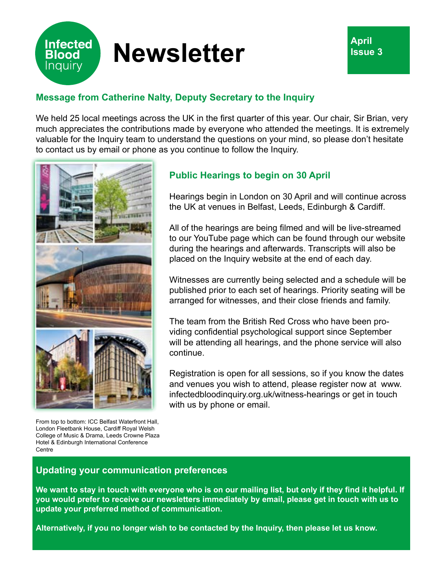

# **Message from Catherine Nalty, Deputy Secretary to the Inquiry**

We held 25 local meetings across the UK in the first quarter of this year. Our chair, Sir Brian, very much appreciates the contributions made by everyone who attended the meetings. It is extremely valuable for the Inquiry team to understand the questions on your mind, so please don't hesitate to contact us by email or phone as you continue to follow the Inquiry.



**Infected** Blood **Inquiry** 

From top to bottom: ICC Belfast Waterfront Hall, London Fleetbank House, Cardiff Royal Welsh College of Music & Drama, Leeds Crowne Plaza Hotel & Edinburgh International Conference Centre

# **Public Hearings to begin on 30 April**

Hearings begin in London on 30 April and will continue across the UK at venues in Belfast, Leeds, Edinburgh & Cardiff.

All of the hearings are being filmed and will be live-streamed to our YouTube page which can be found through our website during the hearings and afterwards. Transcripts will also be placed on the Inquiry website at the end of each day.

Witnesses are currently being selected and a schedule will be published prior to each set of hearings. Priority seating will be arranged for witnesses, and their close friends and family.

The team from the British Red Cross who have been providing confidential psychological support since September will be attending all hearings, and the phone service will also continue.

Registration is open for all sessions, so if you know the dates and venues you wish to attend, please register now at www. infectedbloodinquiry.org.uk/witness-hearings or get in touch with us by phone or email.

## **Updating your communication preferences**

**We want to stay in touch with everyone who is on our mailing list, but only if they find it helpful. If you would prefer to receive our newsletters immediately by email, please get in touch with us to update your preferred method of communication.**

**Alternatively, if you no longer wish to be contacted by the Inquiry, then please let us know.**